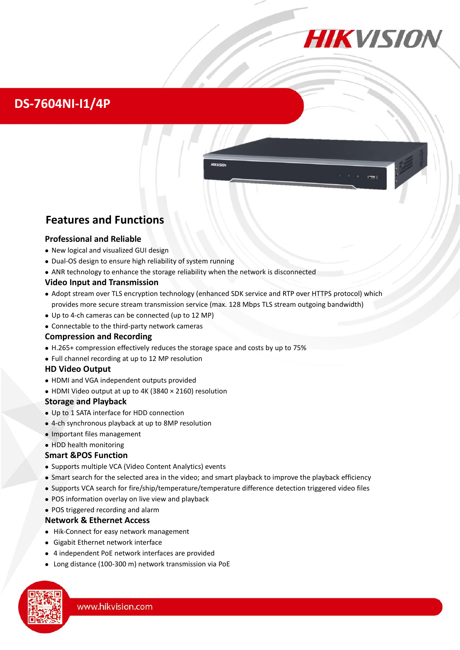## **DS-7604NI-I1/4P**



**HIKVISION** 

### **Features and Functions**

#### **Professional and Reliable**

- New logical and visualized GUI design
- Dual-OS design to ensure high reliability of system running
- ANR technology to enhance the storage reliability when the network is disconnected

#### **Video Input and Transmission**

- Adopt stream over TLS encryption technology (enhanced SDK service and RTP over HTTPS protocol) which provides more secure stream transmission service (max. 128 Mbps TLS stream outgoing bandwidth)
- Up to 4-ch cameras can be connected (up to 12 MP)
- Connectable to the third-party network cameras

#### **Compression and Recording**

- H.265+ compression effectively reduces the storage space and costs by up to 75%
- Full channel recording at up to 12 MP resolution

#### **HD Video Output**

- HDMI and VGA independent outputs provided
- HDMI Video output at up to 4K (3840 × 2160) resolution

#### **Storage and Playback**

- Up to 1 SATA interface for HDD connection
- 4-ch synchronous playback at up to 8MP resolution
- Important files management

#### • HDD health monitoring

#### **Smart &POS Function**

- Supports multiple VCA (Video Content Analytics) events
- Smart search for the selected area in the video; and smart playback to improve the playback efficiency
- Supports VCA search for fire/ship/temperature/temperature difference detection triggered video files
- POS information overlay on live view and playback
- POS triggered recording and alarm

#### **Network & Ethernet Access**

- Hik-Connect for easy network management
- Gigabit Ethernet network interface
- 4 independent PoE network interfaces are provided
- Long distance (100-300 m) network transmission via PoE

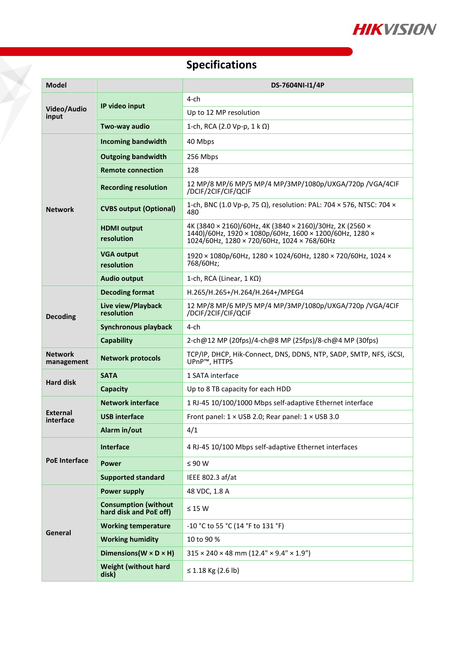

# **Specifications**

T.

| <b>Model</b>                 |                                                       | DS-7604NI-I1/4P                                                                                                                                                                       |  |  |
|------------------------------|-------------------------------------------------------|---------------------------------------------------------------------------------------------------------------------------------------------------------------------------------------|--|--|
| Video/Audio<br>input         | IP video input                                        | $4$ -ch                                                                                                                                                                               |  |  |
|                              |                                                       | Up to 12 MP resolution                                                                                                                                                                |  |  |
|                              | Two-way audio                                         | 1-ch, RCA (2.0 Vp-p, 1 k Ω)                                                                                                                                                           |  |  |
| <b>Network</b>               | <b>Incoming bandwidth</b>                             | 40 Mbps                                                                                                                                                                               |  |  |
|                              | <b>Outgoing bandwidth</b>                             | 256 Mbps                                                                                                                                                                              |  |  |
|                              | <b>Remote connection</b>                              | 128                                                                                                                                                                                   |  |  |
|                              | <b>Recording resolution</b>                           | 12 MP/8 MP/6 MP/5 MP/4 MP/3MP/1080p/UXGA/720p /VGA/4CIF<br>/DCIF/2CIF/CIF/QCIF                                                                                                        |  |  |
|                              | <b>CVBS output (Optional)</b>                         | 1-ch, BNC (1.0 Vp-p, 75 $\Omega$ ), resolution: PAL: 704 $\times$ 576, NTSC: 704 $\times$<br>480                                                                                      |  |  |
|                              | <b>HDMI</b> output<br>resolution                      | 4K (3840 × 2160)/60Hz, 4K (3840 × 2160)/30Hz, 2K (2560 ×<br>1440)/60Hz, 1920 × 1080p/60Hz, 1600 × 1200/60Hz, 1280 ×<br>$1024/60$ Hz, $1280 \times 720/60$ Hz, $1024 \times 768/60$ Hz |  |  |
|                              | <b>VGA output</b><br>resolution                       | 1920 × 1080p/60Hz, 1280 × 1024/60Hz, 1280 × 720/60Hz, 1024 ×<br>768/60Hz;                                                                                                             |  |  |
|                              | <b>Audio output</b>                                   | 1-ch, RCA (Linear, $1 K\Omega$ )                                                                                                                                                      |  |  |
| <b>Decoding</b>              | <b>Decoding format</b>                                | H.265/H.265+/H.264/H.264+/MPEG4                                                                                                                                                       |  |  |
|                              | Live view/Playback<br>resolution                      | 12 MP/8 MP/6 MP/5 MP/4 MP/3MP/1080p/UXGA/720p /VGA/4CIF<br>/DCIF/2CIF/CIF/QCIF                                                                                                        |  |  |
|                              | <b>Synchronous playback</b>                           | $4$ -ch                                                                                                                                                                               |  |  |
|                              | <b>Capability</b>                                     | 2-ch@12 MP (20fps)/4-ch@8 MP (25fps)/8-ch@4 MP (30fps)                                                                                                                                |  |  |
| <b>Network</b><br>management | <b>Network protocols</b>                              | TCP/IP, DHCP, Hik-Connect, DNS, DDNS, NTP, SADP, SMTP, NFS, iSCSI,<br>UPnP™, HTTPS                                                                                                    |  |  |
| <b>Hard disk</b>             | <b>SATA</b>                                           | 1 SATA interface                                                                                                                                                                      |  |  |
|                              | Capacity                                              | Up to 8 TB capacity for each HDD                                                                                                                                                      |  |  |
| <b>External</b><br>interface | <b>Network interface</b>                              | 1 RJ-45 10/100/1000 Mbps self-adaptive Ethernet interface                                                                                                                             |  |  |
|                              | <b>USB interface</b>                                  | Front panel: $1 \times$ USB 2.0; Rear panel: $1 \times$ USB 3.0                                                                                                                       |  |  |
|                              | Alarm in/out                                          | 4/1                                                                                                                                                                                   |  |  |
| <b>PoE</b> Interface         | Interface                                             | 4 RJ-45 10/100 Mbps self-adaptive Ethernet interfaces                                                                                                                                 |  |  |
|                              | <b>Power</b>                                          | $\leq 90 W$                                                                                                                                                                           |  |  |
|                              | <b>Supported standard</b>                             | IEEE 802.3 af/at                                                                                                                                                                      |  |  |
| General                      | <b>Power supply</b>                                   | 48 VDC, 1.8 A                                                                                                                                                                         |  |  |
|                              | <b>Consumption (without</b><br>hard disk and PoE off) | $\leq 15$ W                                                                                                                                                                           |  |  |
|                              | <b>Working temperature</b>                            | -10 °C to 55 °C (14 °F to 131 °F)                                                                                                                                                     |  |  |
|                              | <b>Working humidity</b>                               | 10 to 90 %                                                                                                                                                                            |  |  |
|                              | Dimensions ( $W \times D \times H$ )                  | $315 \times 240 \times 48$ mm (12.4" $\times$ 9.4" $\times$ 1.9")                                                                                                                     |  |  |
|                              | <b>Weight (without hard</b><br>disk)                  | ≤ 1.18 Kg (2.6 lb)                                                                                                                                                                    |  |  |